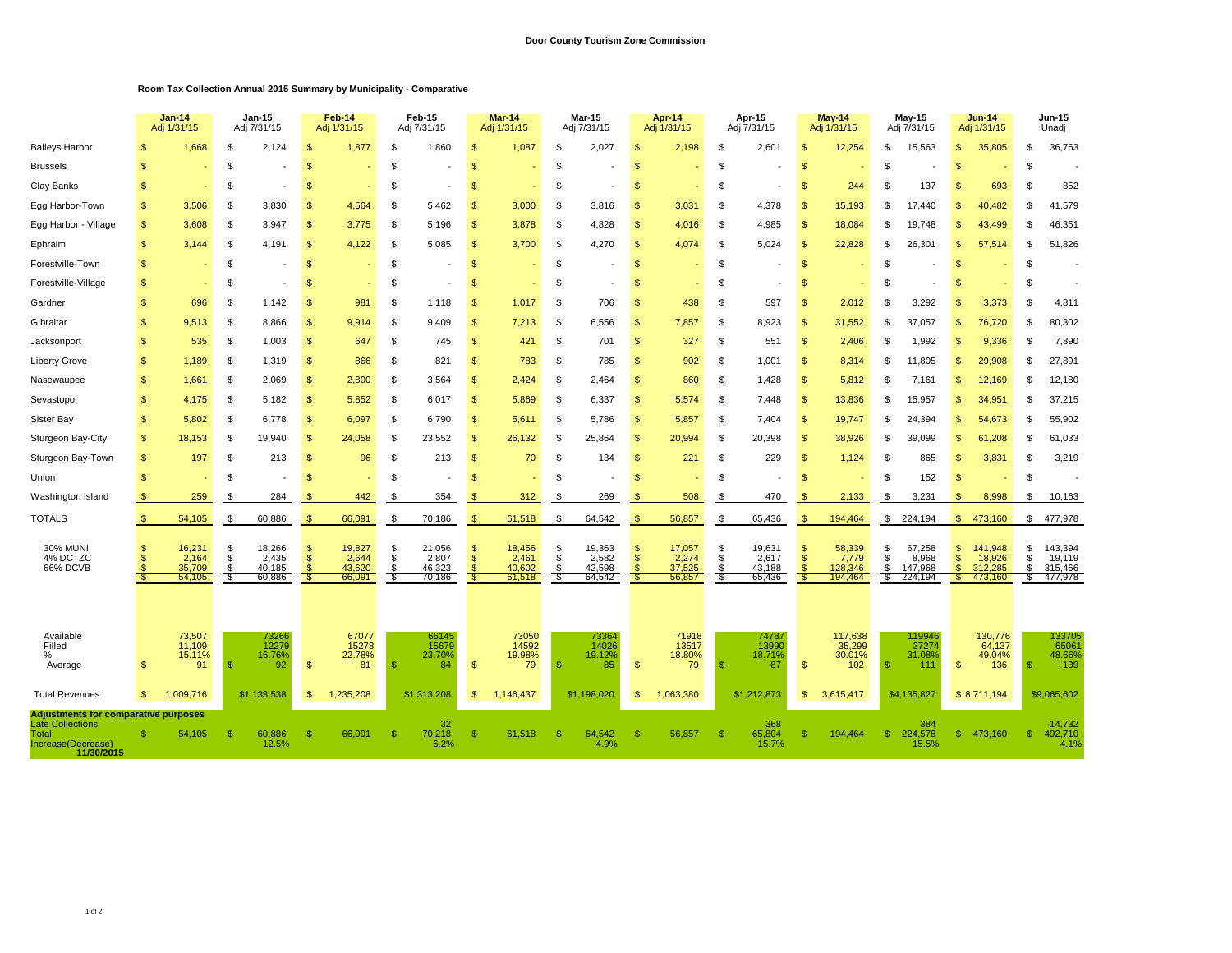## **Room Tax Collection Annual 2015 Summary by Municipality - Comparative**

|                                                                      |                    | $Jan-14$<br>Adj 1/31/15                       |                       | $Jan-15$<br>Adj 7/31/15                       |                                       | Feb-14<br>Adj 1/31/15                       |                     | Feb-15<br>Adj 7/31/15                         |                                                     | <b>Mar-14</b><br>Adj 1/31/15                |                       | <b>Mar-15</b><br>Adj 7/31/15                  |                                                        | Apr-14<br>Adj 1/31/15                       |                       | Apr-15<br>Adj 7/31/15                         |                                   | <b>May-14</b><br>Adj 1/31/15                    |                      | May-15<br>Adj 7/31/15                           |                                             | <b>Jun-14</b><br>Adj 1/31/15                      |                     | Jun-15<br>Unadj                                |  |
|----------------------------------------------------------------------|--------------------|-----------------------------------------------|-----------------------|-----------------------------------------------|---------------------------------------|---------------------------------------------|---------------------|-----------------------------------------------|-----------------------------------------------------|---------------------------------------------|-----------------------|-----------------------------------------------|--------------------------------------------------------|---------------------------------------------|-----------------------|-----------------------------------------------|-----------------------------------|-------------------------------------------------|----------------------|-------------------------------------------------|---------------------------------------------|---------------------------------------------------|---------------------|------------------------------------------------|--|
| <b>Baileys Harbor</b>                                                |                    | 1,668                                         | S                     | 2,124                                         | -SS                                   | 1,877                                       | £.                  | 1,860                                         | S                                                   | 1,087                                       | \$                    | 2,027                                         | -S                                                     | 2,198                                       | \$.                   | 2,601                                         | \$                                | 12,254                                          | \$.                  | 15,563                                          | \$.                                         | 35,805                                            | S                   | 36,763                                         |  |
| <b>Brussels</b>                                                      |                    |                                               | \$                    |                                               |                                       |                                             | £.                  |                                               | $\mathbb{S}$                                        |                                             | \$                    |                                               | Я.                                                     |                                             | \$.                   |                                               | \$                                |                                                 | \$                   |                                                 | $\mathcal{F}$                               |                                                   | \$                  |                                                |  |
| Clay Banks                                                           | -S                 |                                               | \$                    |                                               | -SS                                   |                                             | \$                  |                                               | \$                                                  |                                             | \$                    |                                               | -S                                                     |                                             | \$                    | $\overline{\phantom{a}}$                      | <b>S</b>                          | 244                                             | \$                   | 137                                             | -S                                          | 693                                               | \$                  | 852                                            |  |
| Egg Harbor-Town                                                      | <b>S</b>           | 3,506                                         | S                     | 3.830                                         | $\mathfrak{F}$                        | 4,564                                       | \$.                 | 5,462                                         | $\mathbb{S}$                                        | 3,000                                       | \$                    | 3,816                                         | $\mathfrak{S}$                                         | 3,031                                       | \$                    | 4,378                                         | <sup>\$</sup>                     | 15,193                                          | £.                   | 17.440                                          |                                             | 40.482                                            | \$.                 | 41,579                                         |  |
| Egg Harbor - Village                                                 | <b>S</b>           | 3,608                                         | S                     | 3,947                                         | -S                                    | 3,775                                       | £.                  | 5,196                                         | $\mathcal{S}$                                       | 3,878                                       | \$                    | 4,828                                         | $\mathfrak{L}$                                         | 4,016                                       | \$                    | 4,985                                         | \$.                               | 18,084                                          | £.                   | 19,748                                          |                                             | 43,499                                            | \$                  | 46,351                                         |  |
| Ephraim                                                              | $\mathbf{s}$       | 3.144                                         | \$                    | 4,191                                         | -\$                                   | 4,122                                       | \$                  | 5,085                                         | $\mathbf{s}$                                        | 3,700                                       | \$                    | 4,270                                         | $\mathfrak{L}$                                         | 4,074                                       | \$                    | 5,024                                         | <b>S</b>                          | 22,828                                          | \$                   | 26.301                                          | -96                                         | 57,514                                            | \$                  | 51,826                                         |  |
| Forestville-Town                                                     | $\mathbf{s}$       |                                               | \$                    |                                               | - \$                                  |                                             | \$                  | $\overline{\phantom{a}}$                      | $\mathsf{\$}$                                       |                                             | \$                    |                                               | -S                                                     |                                             | \$                    | $\overline{\phantom{a}}$                      | $\mathbf{s}$                      |                                                 | \$                   |                                                 | -S                                          |                                                   | - \$                |                                                |  |
| Forestville-Village                                                  | <b>S</b>           |                                               | S                     |                                               | $\mathcal{F}$                         |                                             | \$.                 |                                               | \$                                                  |                                             | \$                    |                                               | $\mathfrak{L}$                                         |                                             | \$                    |                                               | <sup>\$</sup>                     |                                                 | £.                   |                                                 |                                             |                                                   | \$                  |                                                |  |
| Gardner                                                              | \$.                | 696                                           | \$                    | 1,142                                         |                                       | 981                                         | S                   | 1,118                                         | S                                                   | 1,017                                       | \$                    | 706                                           | $\mathfrak{S}$                                         | 438                                         | \$                    | 597                                           | \$                                | 2,012                                           | ę.                   | 3,292                                           |                                             | 3,373                                             | \$                  | 4,811                                          |  |
| Gibraltar                                                            | $\mathbf{s}$       | 9.513                                         | \$                    | 8.866                                         | $\mathfrak{L}$                        | 9.914                                       | \$                  | 9.409                                         | $\mathbf{s}$                                        | 7,213                                       | \$                    | 6.556                                         | $\mathfrak{L}$                                         | 7,857                                       | \$                    | 8.923                                         | $\mathbf{s}$                      | 31,552                                          | £.                   | 37,057                                          |                                             | 76,720                                            | \$.                 | 80,302                                         |  |
| Jacksonport                                                          | \$                 | 535                                           | S.                    | 1.003                                         | <sup>\$</sup>                         | 647                                         | S.                  | 745                                           | $\mathbb{S}$                                        | 421                                         | \$                    | 701                                           | $\mathfrak{s}$                                         | 327                                         | \$                    | 551                                           | <sup>\$</sup>                     | 2,406                                           | \$                   | 1.992                                           | $\mathbf{s}$                                | 9,336                                             | \$                  | 7,890                                          |  |
| <b>Liberty Grove</b>                                                 | <b>S</b>           | 1,189                                         | \$                    | 1,319                                         | <sup>\$</sup>                         | 866                                         | S.                  | 821                                           | $\mathfrak{s}$                                      | 783                                         | \$                    | 785                                           | $\mathfrak{S}$                                         | 902                                         | \$                    | 1,001                                         | <sup>\$</sup>                     | 8,314                                           | -S                   | 11,805                                          | $\mathcal{F}$                               | 29,908                                            | \$                  | 27,891                                         |  |
| Nasewaupee                                                           | \$                 | 1,661                                         | \$                    | 2,069                                         | <sup>\$</sup>                         | 2,800                                       | S                   | 3,564                                         | $\mathbb{S}$                                        | 2,424                                       | \$                    | 2,464                                         | $\mathfrak{s}$                                         | 860                                         | \$                    | 1,428                                         | \$                                | 5,812                                           | S                    | 7.161                                           |                                             | 12,169                                            | S                   | 12,180                                         |  |
| Sevastopol                                                           | $\mathbf{s}$       | 4,175                                         | \$                    | 5,182                                         | $\mathfrak{L}$                        | 5,852                                       | \$                  | 6,017                                         | $\mathbf{s}$                                        | 5,869                                       | \$                    | 6,337                                         | $\mathfrak{L}$                                         | 5,574                                       | \$                    | 7,448                                         | $\mathfrak{s}$                    | 13,836                                          | \$.                  | 15,957                                          |                                             | 34,951                                            | \$.                 | 37,215                                         |  |
| Sister Bay                                                           | $\mathcal{S}$      | 5.802                                         | \$                    | 6.778                                         | <b>S</b>                              | 6.097                                       | S.                  | 6,790                                         | $\mathbf{s}$                                        | 5,611                                       | \$                    | 5,786                                         | $\mathfrak{L}$                                         | 5,857                                       | \$                    | 7,404                                         | <b>S</b>                          | 19,747                                          | -S                   | 24,394                                          | \$.                                         | 54,673                                            | \$.                 | 55,902                                         |  |
| Sturgeon Bay-City                                                    | <b>S</b>           | 18,153                                        | \$                    | 19,940                                        | $\mathfrak{F}$                        | 24,058                                      | - \$                | 23,552                                        | $\mathfrak{s}$                                      | 26,132                                      | \$                    | 25,864                                        | $\mathfrak{S}$                                         | 20,994                                      | \$                    | 20,398                                        | <b>S</b>                          | 38,926                                          | \$                   | 39,099                                          | -S                                          | 61,208                                            | S                   | 61,033                                         |  |
| Sturgeon Bay-Town                                                    | $\mathfrak{s}$     | 197                                           | \$                    | 213                                           | \$                                    | 96                                          | \$.                 | 213                                           | $\mathbf{s}$                                        | 70                                          | \$                    | 134                                           | $\mathfrak{L}$                                         | 221                                         | $\mathfrak{L}$        | 229                                           | $\mathfrak{s}$                    | 1,124                                           | \$                   | 865                                             |                                             | 3,831                                             | \$.                 | 3,219                                          |  |
| Union                                                                | <b>S</b>           |                                               | S                     |                                               |                                       |                                             |                     |                                               | \$                                                  |                                             | \$                    |                                               | -S                                                     |                                             | \$                    |                                               | \$                                |                                                 | \$                   | 152                                             | $\mathbf{s}$                                |                                                   | S                   |                                                |  |
| Washington Island                                                    | $\mathbb{S}$       | 259                                           | S                     | 284                                           | - \$                                  | 442                                         | \$                  | 354                                           | $\mathbf{s}$                                        | 312                                         | \$                    | 269                                           | -S                                                     | 508                                         | \$                    | 470                                           | $\mathfrak{F}$                    | 2,133                                           | \$                   | 3,231                                           | -96                                         | 8,998                                             | \$                  | 10,163                                         |  |
| <b>TOTALS</b>                                                        | s.                 | 54,105                                        | \$                    | 60,886                                        | -\$                                   | 66,091                                      | \$                  | 70,186                                        | $\mathbf{s}$                                        | 61,518                                      | $\mathfrak{L}$        | 64,542                                        | $\mathfrak{L}$                                         | 56,857                                      | \$                    | 65,436                                        | \$                                | 194,464                                         | \$                   | 224,194                                         | s.                                          | 473,160                                           | \$                  | 477,978                                        |  |
| <b>30% MUNI</b><br>4% DCTZC<br>66% DCVB                              | $\mathbf{s}$       | 16,231<br>2,164<br>35,709<br>54,105           | \$<br>\$<br>\$<br>-\$ | 18,266<br>2.435<br>40,185<br>60,886           | -S<br>$\mathfrak{L}$<br>$\mathcal{S}$ | 19,827<br>2,644<br>43,620<br>66,091         | S<br>\$<br>\$<br>-S | 21,056<br>2,807<br>46,323<br>70,186           | $\mathbb{S}$<br>$\mathfrak{s}$<br>$\tilde{s}$<br>-8 | 18,456<br>2,461<br>40,602<br>61,518         | \$<br>\$<br>š<br>- \$ | 19,363<br>2,582<br>42,598<br>64,542           | $\mathfrak{S}$<br>$\mathsf{s}$<br>$\mathfrak{s}$<br>-S | 17,057<br>2,274<br>37,525<br>56,857         | \$<br>\$<br>\$<br>-\$ | 19,631<br>2,617<br>43,188<br>65,436           | \$<br>\$<br>$\mathcal{F}$<br>- \$ | 58,339<br>7,779<br>128,346<br>194,464           | S<br>\$<br>\$<br>-\$ | 67,258<br>8,968<br>147,968<br>224,194           | $\mathbf{s}$<br>-S<br>$\mathcal{F}$<br>- 95 | 141,948<br>18,926<br>312,285<br>473,160           | S<br>\$<br>\$<br>-S | 143,394<br>19,119<br>315,466<br>477,978        |  |
| Available<br>Filled<br>%<br>Average<br><b>Total Revenues</b>         | -S<br>$\mathbb{S}$ | 73,507<br>11,109<br>15.11%<br>91<br>1.009.716 | -S                    | 73266<br>12279<br>16.76%<br>92<br>\$1.133.538 | \$<br>$\mathfrak{L}$                  | 67077<br>15278<br>22.78%<br>81<br>1.235.208 |                     | 66145<br>15679<br>23.70%<br>84<br>\$1,313,208 | $\mathfrak{s}$<br>$\mathfrak{s}$                    | 73050<br>14592<br>19.98%<br>79<br>1.146.437 | $\mathbf{s}$          | 73364<br>14026<br>19.12%<br>85<br>\$1.198.020 | $\mathfrak{s}$<br>$\mathfrak{s}$                       | 71918<br>13517<br>18.80%<br>79<br>1,063,380 | -S                    | 74787<br>13990<br>18.71%<br>87<br>\$1.212.873 | $\mathbf{s}$<br>$\mathbf{s}$      | 117,638<br>35,299<br>30.01%<br>102<br>3,615,417 | -S                   | 119946<br>37274<br>31.08%<br>111<br>\$4,135,827 | $\mathfrak{s}$                              | 130,776<br>64,137<br>49.04%<br>136<br>\$8,711,194 | -S                  | 133705<br>6506<br>48.66%<br>139<br>\$9.065.602 |  |
| <b>Adjustments for comparative purposes</b>                          |                    |                                               |                       |                                               |                                       |                                             |                     |                                               |                                                     |                                             |                       |                                               |                                                        |                                             |                       |                                               |                                   |                                                 |                      |                                                 |                                             |                                                   |                     |                                                |  |
| <b>Late Collections</b><br>Total<br>Increase(Decrease)<br>11/30/2015 | £.                 | 54,105                                        | -9                    | 60,886<br>12.5%                               |                                       | 66,091                                      | ி                   | 32<br>70,218<br>6.2%                          | $\mathbf{s}$                                        | 61,518                                      | -\$                   | 64,542<br>4.9%                                | -S                                                     | 56,857                                      | -S                    | 368<br>65,804<br>15.7%                        | <b>S</b>                          | 194.464                                         | S.                   | 384<br>224,578<br>15.5%                         | S.                                          | 473,160                                           | -S                  | 14,732<br>492,710<br>4.1%                      |  |